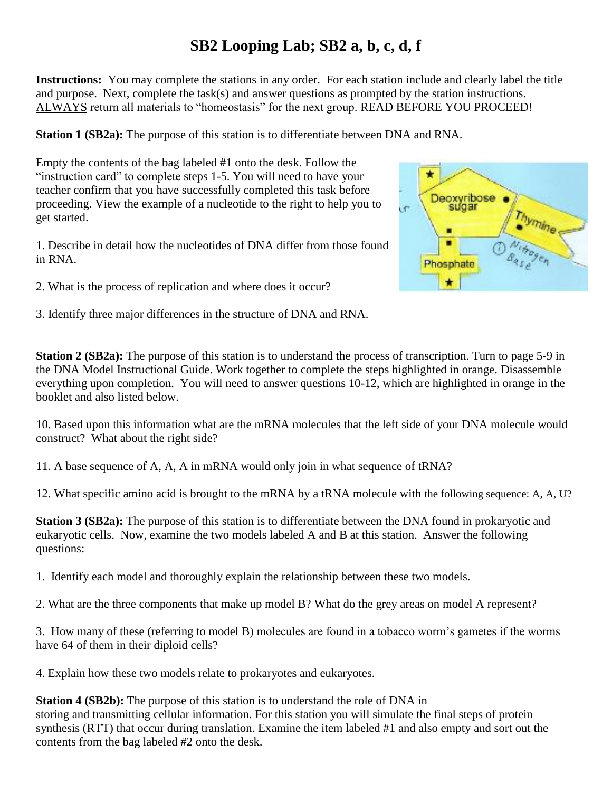## **SB2 Looping Lab; SB2 a, b, c, d, f**

**Instructions:** You may complete the stations in any order. For each station include and clearly label the title and purpose. Next, complete the task(s) and answer questions as prompted by the station instructions. ALWAYS return all materials to "homeostasis" for the next group. READ BEFORE YOU PROCEED!

**Station 1 (SB2a):** The purpose of this station is to differentiate between DNA and RNA.

Empty the contents of the bag labeled #1 onto the desk. Follow the "instruction card" to complete steps 1-5. You will need to have your teacher confirm that you have successfully completed this task before proceeding. View the example of a nucleotide to the right to help you to get started.

1. Describe in detail how the nucleotides of DNA differ from those found in RNA.

2. What is the process of replication and where does it occur?

3. Identify three major differences in the structure of DNA and RNA.



**Station 2 (SB2a):** The purpose of this station is to understand the process of transcription. Turn to page 5-9 in the DNA Model Instructional Guide. Work together to complete the steps highlighted in orange. Disassemble everything upon completion. You will need to answer questions 10-12, which are highlighted in orange in the booklet and also listed below.

10. Based upon this information what are the mRNA molecules that the left side of your DNA molecule would construct? What about the right side?

11. A base sequence of A, A, A in mRNA would only join in what sequence of tRNA?

12. What specific amino acid is brought to the mRNA by a tRNA molecule with the following sequence: A, A, U?

**Station 3 (SB2a):** The purpose of this station is to differentiate between the DNA found in prokaryotic and eukaryotic cells. Now, examine the two models labeled A and B at this station. Answer the following questions:

1. Identify each model and thoroughly explain the relationship between these two models.

2. What are the three components that make up model B? What do the grey areas on model A represent?

3. How many of these (referring to model B) molecules are found in a tobacco worm's gametes if the worms have 64 of them in their diploid cells?

4. Explain how these two models relate to prokaryotes and eukaryotes.

**Station 4 (SB2b):** The purpose of this station is to understand the role of DNA in storing and transmitting cellular information. For this station you will simulate the final steps of protein synthesis (RTT) that occur during translation. Examine the item labeled #1 and also empty and sort out the contents from the bag labeled #2 onto the desk.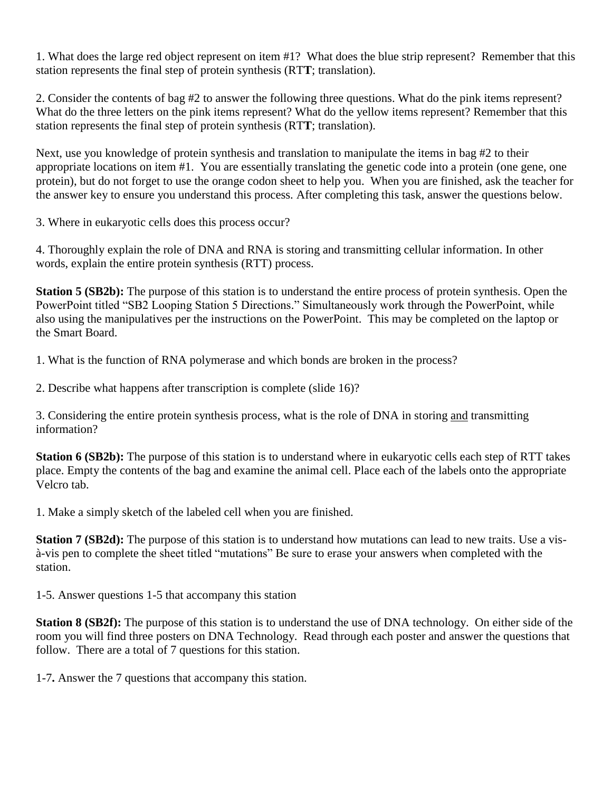1. What does the large red object represent on item #1? What does the blue strip represent? Remember that this station represents the final step of protein synthesis (RT**T**; translation).

2. Consider the contents of bag #2 to answer the following three questions. What do the pink items represent? What do the three letters on the pink items represent? What do the yellow items represent? Remember that this station represents the final step of protein synthesis (RT**T**; translation).

Next, use you knowledge of protein synthesis and translation to manipulate the items in bag #2 to their appropriate locations on item #1. You are essentially translating the genetic code into a protein (one gene, one protein), but do not forget to use the orange codon sheet to help you. When you are finished, ask the teacher for the answer key to ensure you understand this process. After completing this task, answer the questions below.

3. Where in eukaryotic cells does this process occur?

4. Thoroughly explain the role of DNA and RNA is storing and transmitting cellular information. In other words, explain the entire protein synthesis (RTT) process.

**Station 5 (SB2b):** The purpose of this station is to understand the entire process of protein synthesis. Open the PowerPoint titled "SB2 Looping Station 5 Directions." Simultaneously work through the PowerPoint, while also using the manipulatives per the instructions on the PowerPoint. This may be completed on the laptop or the Smart Board.

1. What is the function of RNA polymerase and which bonds are broken in the process?

2. Describe what happens after transcription is complete (slide 16)?

3. Considering the entire protein synthesis process, what is the role of DNA in storing and transmitting information?

**Station 6 (SB2b):** The purpose of this station is to understand where in eukaryotic cells each step of RTT takes place. Empty the contents of the bag and examine the animal cell. Place each of the labels onto the appropriate Velcro tab.

1. Make a simply sketch of the labeled cell when you are finished.

**Station 7 (SB2d):** The purpose of this station is to understand how mutations can lead to new traits. Use a visà-vis pen to complete the sheet titled "mutations" Be sure to erase your answers when completed with the station.

1-5. Answer questions 1-5 that accompany this station

**Station 8 (SB2f):** The purpose of this station is to understand the use of DNA technology. On either side of the room you will find three posters on DNA Technology. Read through each poster and answer the questions that follow. There are a total of 7 questions for this station.

1-7**.** Answer the 7 questions that accompany this station.